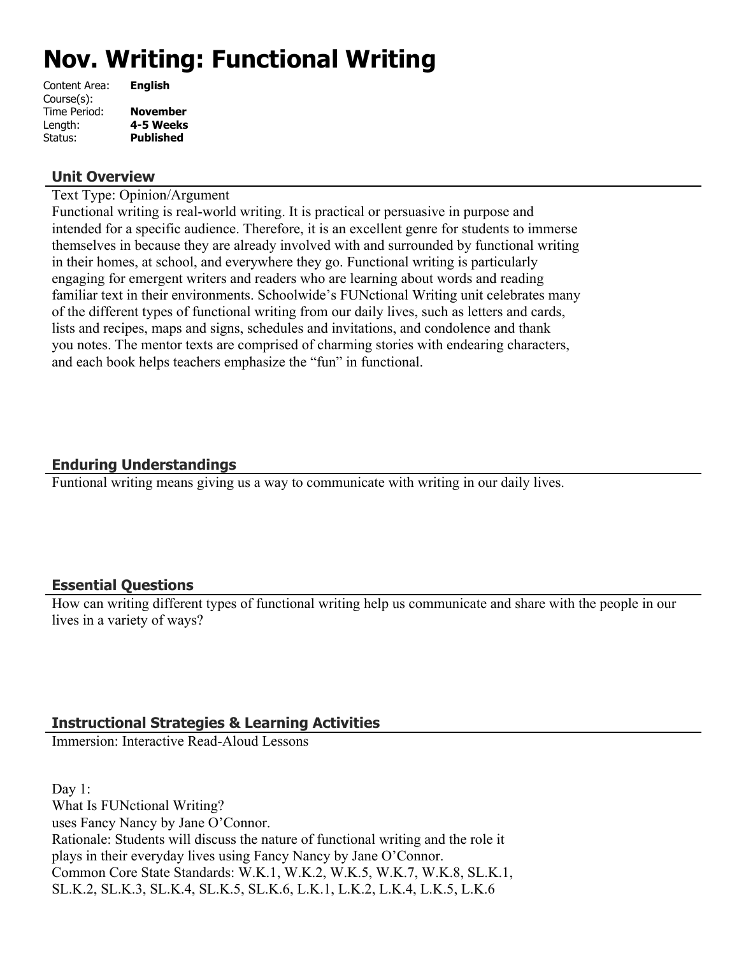# **Nov. Writing: Functional Writing**

| <b>English</b>   |
|------------------|
|                  |
| <b>November</b>  |
| 4-5 Weeks        |
| <b>Published</b> |
|                  |

#### **Unit Overview**

Text Type: Opinion/Argument

Functional writing is real-world writing. It is practical or persuasive in purpose and intended for a specific audience. Therefore, it is an excellent genre for students to immerse themselves in because they are already involved with and surrounded by functional writing in their homes, at school, and everywhere they go. Functional writing is particularly engaging for emergent writers and readers who are learning about words and reading familiar text in their environments. Schoolwide's FUNctional Writing unit celebrates many of the different types of functional writing from our daily lives, such as letters and cards, lists and recipes, maps and signs, schedules and invitations, and condolence and thank you notes. The mentor texts are comprised of charming stories with endearing characters, and each book helps teachers emphasize the "fun" in functional.

# **Enduring Understandings**

Funtional writing means giving us a way to communicate with writing in our daily lives.

# **Essential Questions**

How can writing different types of functional writing help us communicate and share with the people in our lives in a variety of ways?

# **Instructional Strategies & Learning Activities**

Immersion: Interactive Read-Aloud Lessons

Day 1: What Is FUNctional Writing? uses Fancy Nancy by Jane O'Connor. Rationale: Students will discuss the nature of functional writing and the role it plays in their everyday lives using Fancy Nancy by Jane O'Connor. Common Core State Standards: W.K.1, W.K.2, W.K.5, W.K.7, W.K.8, SL.K.1, SL.K.2, SL.K.3, SL.K.4, SL.K.5, SL.K.6, L.K.1, L.K.2, L.K.4, L.K.5, L.K.6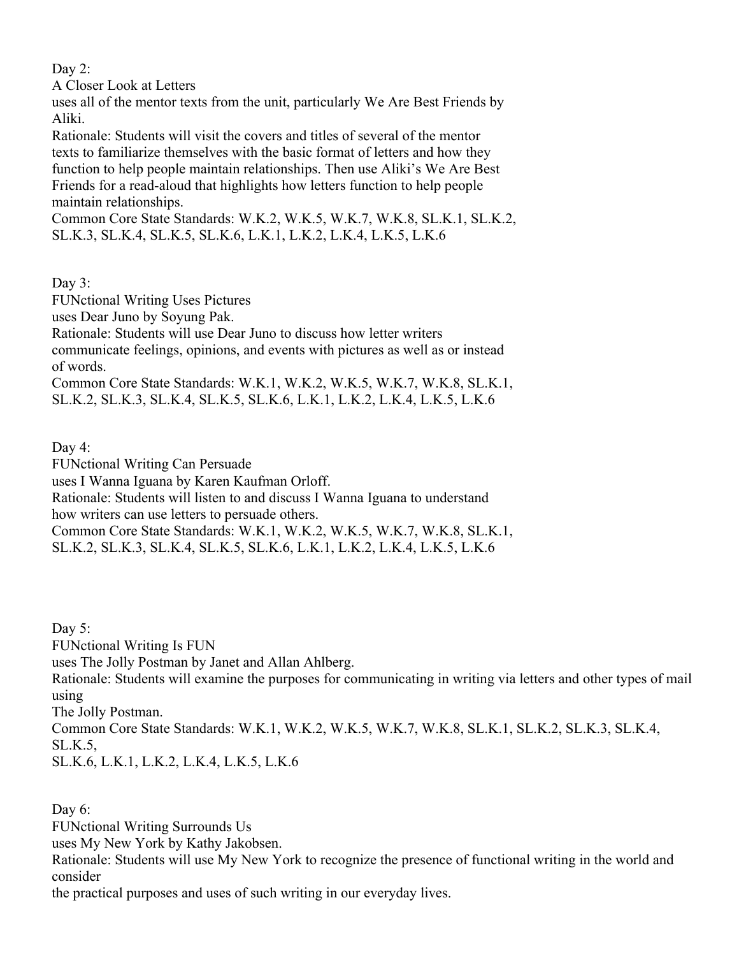Day 2:

A Closer Look at Letters

uses all of the mentor texts from the unit, particularly We Are Best Friends by Aliki.

Rationale: Students will visit the covers and titles of several of the mentor texts to familiarize themselves with the basic format of letters and how they function to help people maintain relationships. Then use Aliki's We Are Best Friends for a read-aloud that highlights how letters function to help people maintain relationships.

Common Core State Standards: W.K.2, W.K.5, W.K.7, W.K.8, SL.K.1, SL.K.2, SL.K.3, SL.K.4, SL.K.5, SL.K.6, L.K.1, L.K.2, L.K.4, L.K.5, L.K.6

Day  $3$ :

FUNctional Writing Uses Pictures

uses Dear Juno by Soyung Pak.

Rationale: Students will use Dear Juno to discuss how letter writers

communicate feelings, opinions, and events with pictures as well as or instead of words.

Common Core State Standards: W.K.1, W.K.2, W.K.5, W.K.7, W.K.8, SL.K.1, SL.K.2, SL.K.3, SL.K.4, SL.K.5, SL.K.6, L.K.1, L.K.2, L.K.4, L.K.5, L.K.6

Day 4:

FUNctional Writing Can Persuade

uses I Wanna Iguana by Karen Kaufman Orloff.

Rationale: Students will listen to and discuss I Wanna Iguana to understand

how writers can use letters to persuade others.

Common Core State Standards: W.K.1, W.K.2, W.K.5, W.K.7, W.K.8, SL.K.1, SL.K.2, SL.K.3, SL.K.4, SL.K.5, SL.K.6, L.K.1, L.K.2, L.K.4, L.K.5, L.K.6

Day 5: FUNctional Writing Is FUN uses The Jolly Postman by Janet and Allan Ahlberg. Rationale: Students will examine the purposes for communicating in writing via letters and other types of mail using The Jolly Postman. Common Core State Standards: W.K.1, W.K.2, W.K.5, W.K.7, W.K.8, SL.K.1, SL.K.2, SL.K.3, SL.K.4, SL.K.5, SL.K.6, L.K.1, L.K.2, L.K.4, L.K.5, L.K.6

Day 6:

FUNctional Writing Surrounds Us

uses My New York by Kathy Jakobsen.

Rationale: Students will use My New York to recognize the presence of functional writing in the world and consider

the practical purposes and uses of such writing in our everyday lives.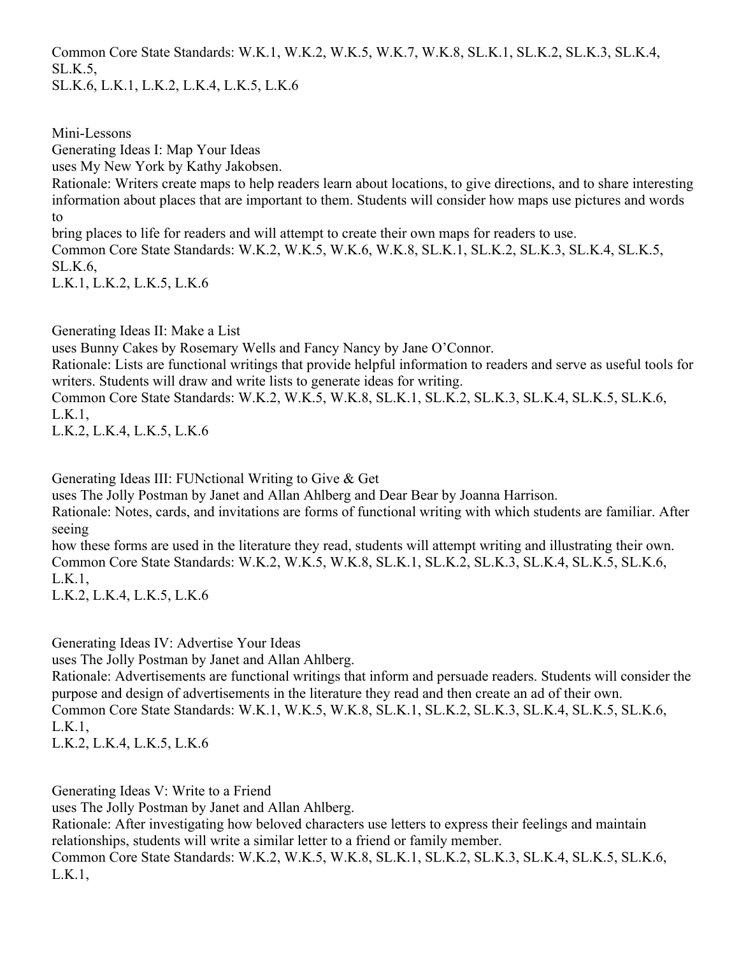Common Core State Standards: W.K.1, W.K.2, W.K.5, W.K.7, W.K.8, SL.K.1, SL.K.2, SL.K.3, SL.K.4, SL.K.5,

SL.K.6, L.K.1, L.K.2, L.K.4, L.K.5, L.K.6

Mini-Lessons

Generating Ideas I: Map Your Ideas

uses My New York by Kathy Jakobsen.

Rationale: Writers create maps to help readers learn about locations, to give directions, and to share interesting information about places that are important to them. Students will consider how maps use pictures and words to

bring places to life for readers and will attempt to create their own maps for readers to use.

Common Core State Standards: W.K.2, W.K.5, W.K.6, W.K.8, SL.K.1, SL.K.2, SL.K.3, SL.K.4, SL.K.5, SL.K.6,

L.K.1, L.K.2, L.K.5, L.K.6

Generating Ideas II: Make a List

uses Bunny Cakes by Rosemary Wells and Fancy Nancy by Jane O'Connor.

Rationale: Lists are functional writings that provide helpful information to readers and serve as useful tools for writers. Students will draw and write lists to generate ideas for writing.

Common Core State Standards: W.K.2, W.K.5, W.K.8, SL.K.1, SL.K.2, SL.K.3, SL.K.4, SL.K.5, SL.K.6, L.K.1,

L.K.2, L.K.4, L.K.5, L.K.6

Generating Ideas III: FUNctional Writing to Give & Get

uses The Jolly Postman by Janet and Allan Ahlberg and Dear Bear by Joanna Harrison.

Rationale: Notes, cards, and invitations are forms of functional writing with which students are familiar. After seeing

how these forms are used in the literature they read, students will attempt writing and illustrating their own. Common Core State Standards: W.K.2, W.K.5, W.K.8, SL.K.1, SL.K.2, SL.K.3, SL.K.4, SL.K.5, SL.K.6, L.K.1,

L.K.2, L.K.4, L.K.5, L.K.6

Generating Ideas IV: Advertise Your Ideas

uses The Jolly Postman by Janet and Allan Ahlberg.

Rationale: Advertisements are functional writings that inform and persuade readers. Students will consider the purpose and design of advertisements in the literature they read and then create an ad of their own. Common Core State Standards: W.K.1, W.K.5, W.K.8, SL.K.1, SL.K.2, SL.K.3, SL.K.4, SL.K.5, SL.K.6, L.K.1,

L.K.2, L.K.4, L.K.5, L.K.6

Generating Ideas V: Write to a Friend

uses The Jolly Postman by Janet and Allan Ahlberg.

Rationale: After investigating how beloved characters use letters to express their feelings and maintain relationships, students will write a similar letter to a friend or family member.

Common Core State Standards: W.K.2, W.K.5, W.K.8, SL.K.1, SL.K.2, SL.K.3, SL.K.4, SL.K.5, SL.K.6, L.K.1,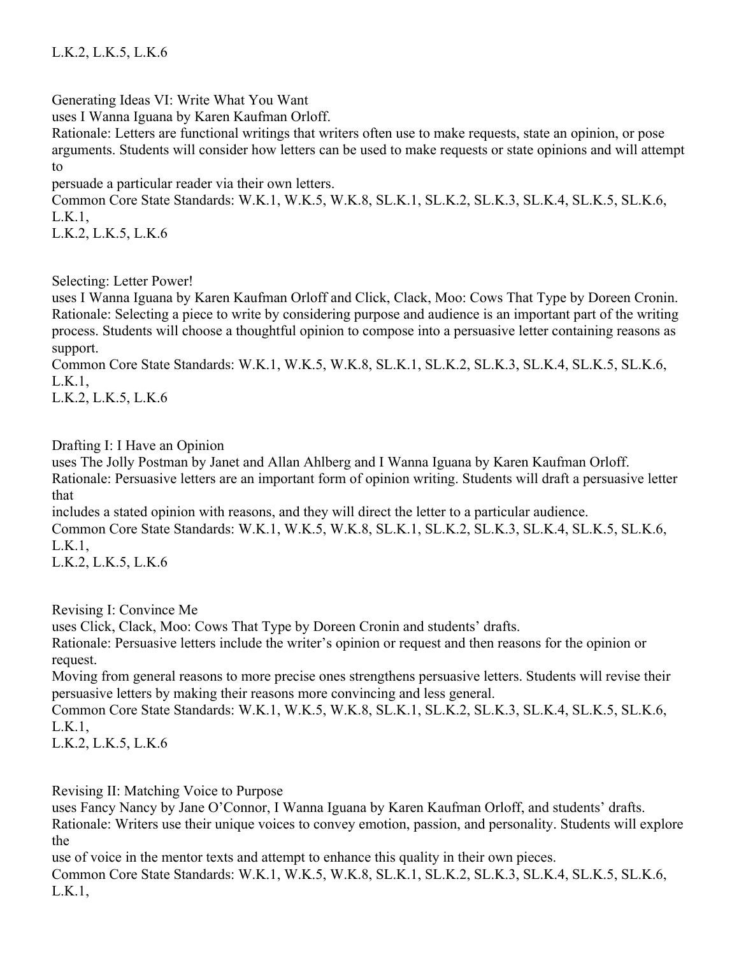Generating Ideas VI: Write What You Want

uses I Wanna Iguana by Karen Kaufman Orloff.

Rationale: Letters are functional writings that writers often use to make requests, state an opinion, or pose arguments. Students will consider how letters can be used to make requests or state opinions and will attempt to

persuade a particular reader via their own letters.

Common Core State Standards: W.K.1, W.K.5, W.K.8, SL.K.1, SL.K.2, SL.K.3, SL.K.4, SL.K.5, SL.K.6, L.K.1,

L.K.2, L.K.5, L.K.6

Selecting: Letter Power!

uses I Wanna Iguana by Karen Kaufman Orloff and Click, Clack, Moo: Cows That Type by Doreen Cronin. Rationale: Selecting a piece to write by considering purpose and audience is an important part of the writing process. Students will choose a thoughtful opinion to compose into a persuasive letter containing reasons as support.

Common Core State Standards: W.K.1, W.K.5, W.K.8, SL.K.1, SL.K.2, SL.K.3, SL.K.4, SL.K.5, SL.K.6, L.K.1,

L.K.2, L.K.5, L.K.6

Drafting I: I Have an Opinion

uses The Jolly Postman by Janet and Allan Ahlberg and I Wanna Iguana by Karen Kaufman Orloff.

Rationale: Persuasive letters are an important form of opinion writing. Students will draft a persuasive letter that

includes a stated opinion with reasons, and they will direct the letter to a particular audience.

Common Core State Standards: W.K.1, W.K.5, W.K.8, SL.K.1, SL.K.2, SL.K.3, SL.K.4, SL.K.5, SL.K.6, L.K.1,

L.K.2, L.K.5, L.K.6

Revising I: Convince Me

uses Click, Clack, Moo: Cows That Type by Doreen Cronin and students' drafts.

Rationale: Persuasive letters include the writer's opinion or request and then reasons for the opinion or request.

Moving from general reasons to more precise ones strengthens persuasive letters. Students will revise their persuasive letters by making their reasons more convincing and less general.

Common Core State Standards: W.K.1, W.K.5, W.K.8, SL.K.1, SL.K.2, SL.K.3, SL.K.4, SL.K.5, SL.K.6, L.K.1,

L.K.2, L.K.5, L.K.6

Revising II: Matching Voice to Purpose

uses Fancy Nancy by Jane O'Connor, I Wanna Iguana by Karen Kaufman Orloff, and students' drafts.

Rationale: Writers use their unique voices to convey emotion, passion, and personality. Students will explore the

use of voice in the mentor texts and attempt to enhance this quality in their own pieces.

Common Core State Standards: W.K.1, W.K.5, W.K.8, SL.K.1, SL.K.2, SL.K.3, SL.K.4, SL.K.5, SL.K.6, L.K.1,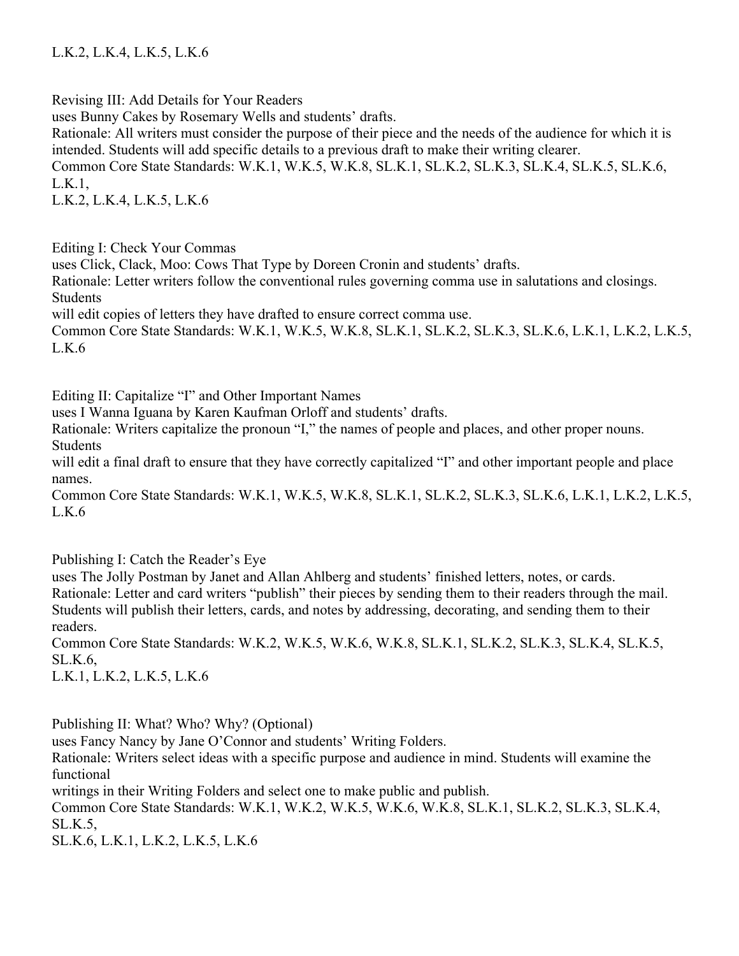L.K.2, L.K.4, L.K.5, L.K.6

Revising III: Add Details for Your Readers uses Bunny Cakes by Rosemary Wells and students' drafts. Rationale: All writers must consider the purpose of their piece and the needs of the audience for which it is intended. Students will add specific details to a previous draft to make their writing clearer. Common Core State Standards: W.K.1, W.K.5, W.K.8, SL.K.1, SL.K.2, SL.K.3, SL.K.4, SL.K.5, SL.K.6, L.K.1, L.K.2, L.K.4, L.K.5, L.K.6

Editing I: Check Your Commas

uses Click, Clack, Moo: Cows That Type by Doreen Cronin and students' drafts.

Rationale: Letter writers follow the conventional rules governing comma use in salutations and closings. Students

will edit copies of letters they have drafted to ensure correct comma use.

Common Core State Standards: W.K.1, W.K.5, W.K.8, SL.K.1, SL.K.2, SL.K.3, SL.K.6, L.K.1, L.K.2, L.K.5,  $L.K.6$ 

Editing II: Capitalize "I" and Other Important Names

uses I Wanna Iguana by Karen Kaufman Orloff and students' drafts.

Rationale: Writers capitalize the pronoun "I," the names of people and places, and other proper nouns. Students

will edit a final draft to ensure that they have correctly capitalized "I" and other important people and place names.

Common Core State Standards: W.K.1, W.K.5, W.K.8, SL.K.1, SL.K.2, SL.K.3, SL.K.6, L.K.1, L.K.2, L.K.5, L.K.6

Publishing I: Catch the Reader's Eye

uses The Jolly Postman by Janet and Allan Ahlberg and students' finished letters, notes, or cards. Rationale: Letter and card writers "publish" their pieces by sending them to their readers through the mail. Students will publish their letters, cards, and notes by addressing, decorating, and sending them to their readers.

Common Core State Standards: W.K.2, W.K.5, W.K.6, W.K.8, SL.K.1, SL.K.2, SL.K.3, SL.K.4, SL.K.5, SL.K.6,

L.K.1, L.K.2, L.K.5, L.K.6

Publishing II: What? Who? Why? (Optional)

uses Fancy Nancy by Jane O'Connor and students' Writing Folders.

Rationale: Writers select ideas with a specific purpose and audience in mind. Students will examine the functional

writings in their Writing Folders and select one to make public and publish.

Common Core State Standards: W.K.1, W.K.2, W.K.5, W.K.6, W.K.8, SL.K.1, SL.K.2, SL.K.3, SL.K.4, SL.K.5,

SL.K.6, L.K.1, L.K.2, L.K.5, L.K.6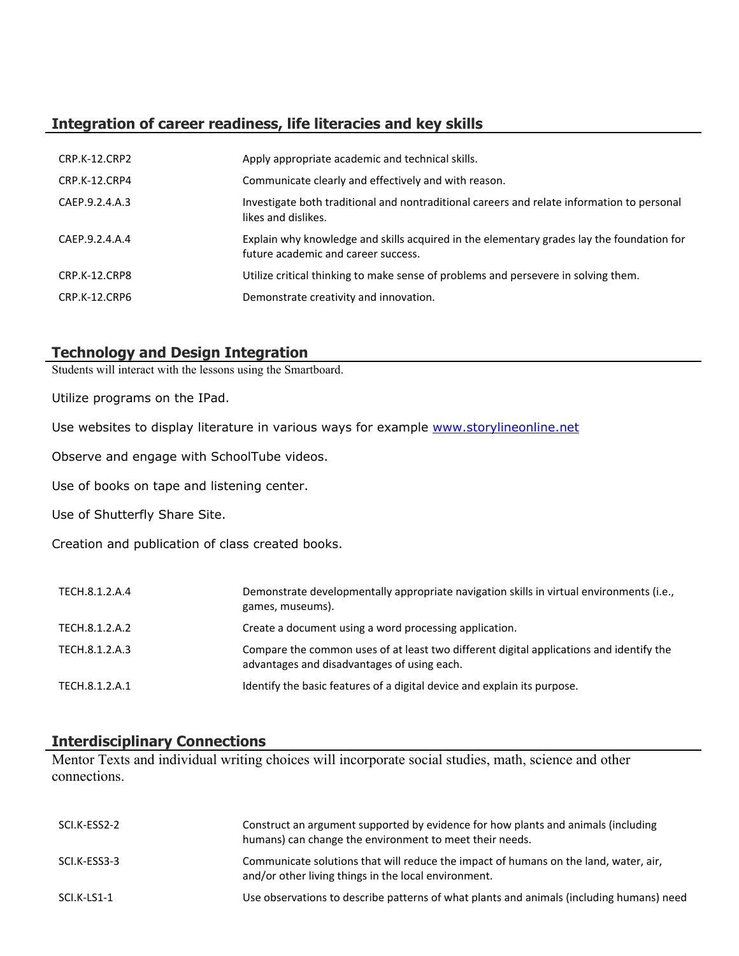# **Integration of career readiness, life literacies and key skills**

| CRP.K-12.CRP2  | Apply appropriate academic and technical skills.                                                                                 |
|----------------|----------------------------------------------------------------------------------------------------------------------------------|
| CRP.K-12.CRP4  | Communicate clearly and effectively and with reason.                                                                             |
| CAEP.9.2.4.A.3 | Investigate both traditional and nontraditional careers and relate information to personal<br>likes and dislikes.                |
| CAEP.9.2.4.A.4 | Explain why knowledge and skills acquired in the elementary grades lay the foundation for<br>future academic and career success. |
| CRP.K-12.CRP8  | Utilize critical thinking to make sense of problems and persevere in solving them.                                               |
| CRP.K-12.CRP6  | Demonstrate creativity and innovation.                                                                                           |

# **Technology and Design Integration**

Students will interact with the lessons using the Smartboard.

Utilize programs on the IPad.

Use websites to display literature in various ways for example [www.storylineonline.net](http://www.storylineonline.net/)

Observe and engage with SchoolTube videos.

Use of books on tape and listening center.

Use of Shutterfly Share Site.

Creation and publication of class created books.

| TECH.8.1.2.A.4 | Demonstrate developmentally appropriate navigation skills in virtual environments (i.e.,<br>games, museums).                           |
|----------------|----------------------------------------------------------------------------------------------------------------------------------------|
| TECH.8.1.2.A.2 | Create a document using a word processing application.                                                                                 |
| TECH.8.1.2.A.3 | Compare the common uses of at least two different digital applications and identify the<br>advantages and disadvantages of using each. |
| TECH.8.1.2.A.1 | Identify the basic features of a digital device and explain its purpose.                                                               |

# **Interdisciplinary Connections**

Mentor Texts and individual writing choices will incorporate social studies, math, science and other connections.

| SCI.K-ESS2-2 | Construct an argument supported by evidence for how plants and animals (including<br>humans) can change the environment to meet their needs. |
|--------------|----------------------------------------------------------------------------------------------------------------------------------------------|
| SCI.K-ESS3-3 | Communicate solutions that will reduce the impact of humans on the land, water, air,<br>and/or other living things in the local environment. |
| SCI.K-LS1-1  | Use observations to describe patterns of what plants and animals (including humans) need                                                     |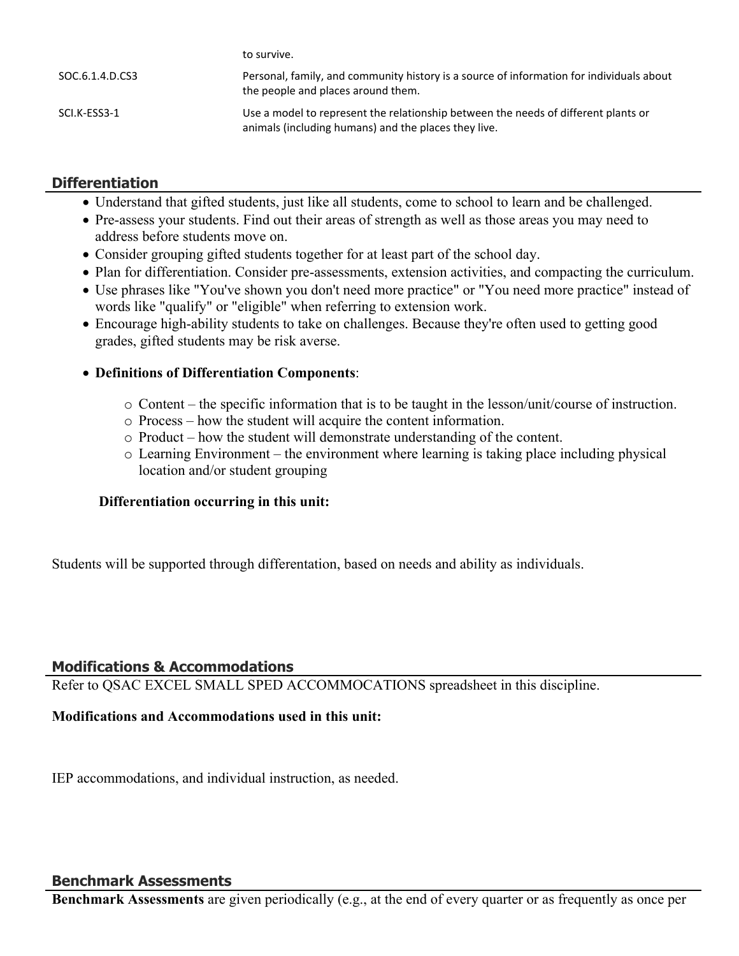|                 | to survive.                                                                                                                                |
|-----------------|--------------------------------------------------------------------------------------------------------------------------------------------|
| SOC.6.1.4.D.CS3 | Personal, family, and community history is a source of information for individuals about<br>the people and places around them.             |
| SCI.K-ESS3-1    | Use a model to represent the relationship between the needs of different plants or<br>animals (including humans) and the places they live. |

## **Differentiation**

- Understand that gifted students, just like all students, come to school to learn and be challenged.
- Pre-assess your students. Find out their areas of strength as well as those areas you may need to address before students move on.
- Consider grouping gifted students together for at least part of the school day.
- Plan for differentiation. Consider pre-assessments, extension activities, and compacting the curriculum.
- Use phrases like "You've shown you don't need more practice" or "You need more practice" instead of words like "qualify" or "eligible" when referring to extension work.
- Encourage high-ability students to take on challenges. Because they're often used to getting good grades, gifted students may be risk averse.

### **Definitions of Differentiation Components**:

- o Content the specific information that is to be taught in the lesson/unit/course of instruction.
- o Process how the student will acquire the content information.
- o Product how the student will demonstrate understanding of the content.
- o Learning Environment the environment where learning is taking place including physical location and/or student grouping

#### **Differentiation occurring in this unit:**

Students will be supported through differentation, based on needs and ability as individuals.

# **Modifications & Accommodations**

Refer to QSAC EXCEL SMALL SPED ACCOMMOCATIONS spreadsheet in this discipline.

#### **Modifications and Accommodations used in this unit:**

IEP accommodations, and individual instruction, as needed.

#### **Benchmark Assessments**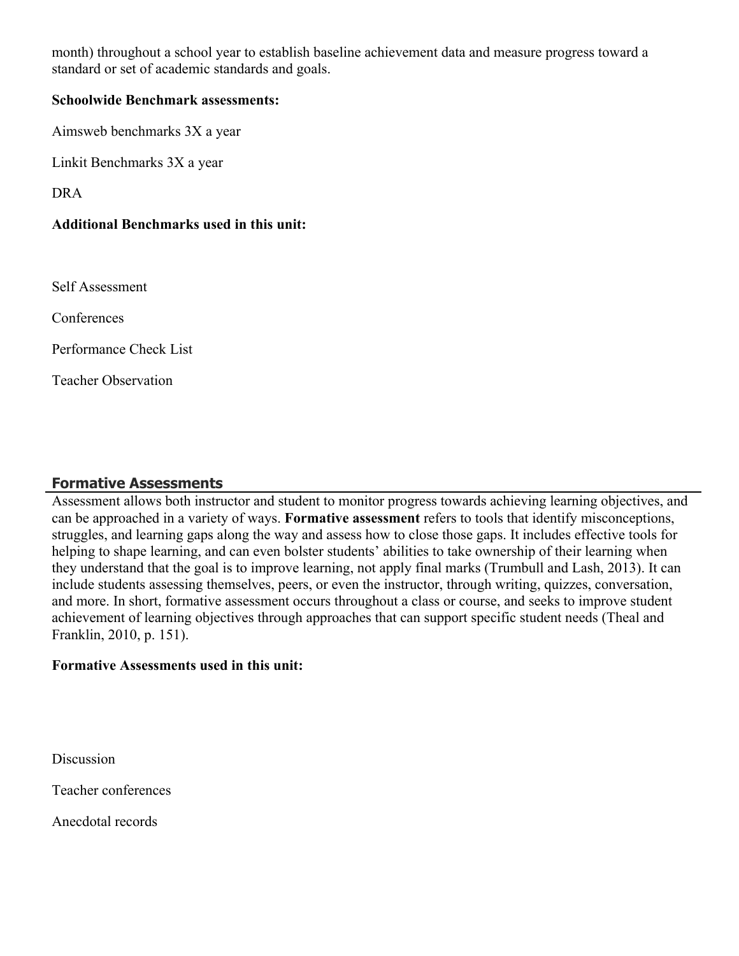month) throughout a school year to establish baseline achievement data and measure progress toward a standard or set of academic standards and goals.

#### **Schoolwide Benchmark assessments:**

Aimsweb benchmarks 3X a year

Linkit Benchmarks 3X a year

DRA

#### **Additional Benchmarks used in this unit:**

Self Assessment

**Conferences** 

Performance Check List

Teacher Observation

#### **Formative Assessments**

Assessment allows both instructor and student to monitor progress towards achieving learning objectives, and can be approached in a variety of ways. **Formative assessment** refers to tools that identify misconceptions, struggles, and learning gaps along the way and assess how to close those gaps. It includes effective tools for helping to shape learning, and can even bolster students' abilities to take ownership of their learning when they understand that the goal is to improve learning, not apply final marks (Trumbull and Lash, 2013). It can include students assessing themselves, peers, or even the instructor, through writing, quizzes, conversation, and more. In short, formative assessment occurs throughout a class or course, and seeks to improve student achievement of learning objectives through approaches that can support specific student needs (Theal and Franklin, 2010, p. 151).

#### **Formative Assessments used in this unit:**

**Discussion** 

Teacher conferences

Anecdotal records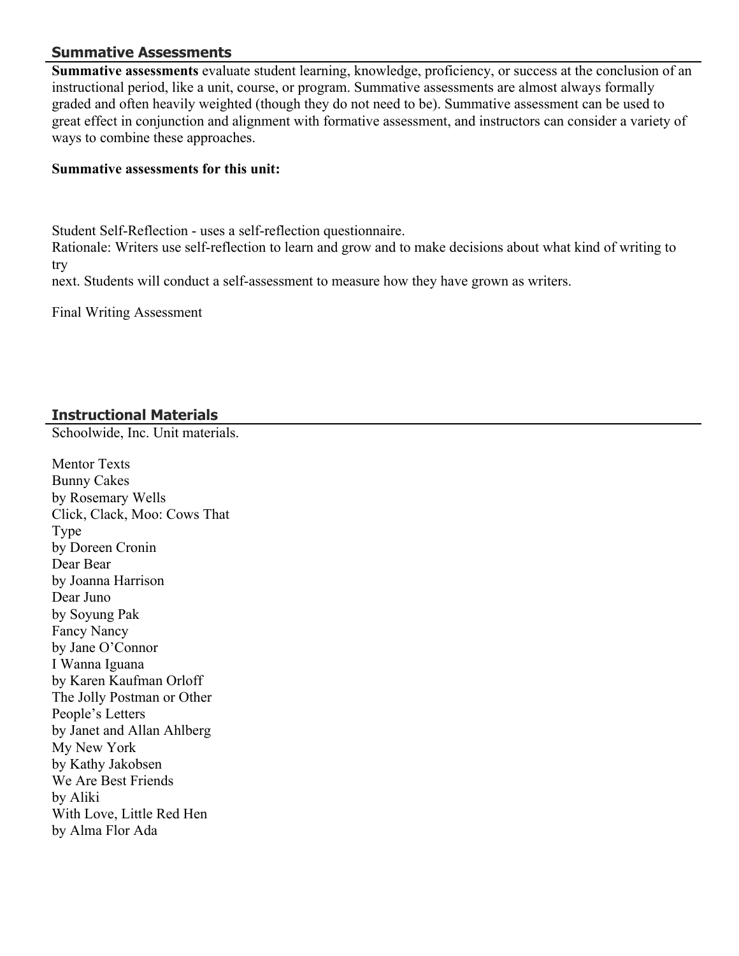#### **Summative Assessments**

**Summative assessments** evaluate student learning, knowledge, proficiency, or success at the conclusion of an instructional period, like a unit, course, or program. Summative assessments are almost always formally graded and often heavily weighted (though they do not need to be). Summative assessment can be used to great effect in conjunction and alignment with formative assessment, and instructors can consider a variety of ways to combine these approaches.

#### **Summative assessments for this unit:**

Student Self-Reflection - uses a self-reflection questionnaire.

Rationale: Writers use self-reflection to learn and grow and to make decisions about what kind of writing to try

next. Students will conduct a self-assessment to measure how they have grown as writers.

Final Writing Assessment

# **Instructional Materials**

Schoolwide, Inc. Unit materials.

Mentor Texts Bunny Cakes by Rosemary Wells Click, Clack, Moo: Cows That Type by Doreen Cronin Dear Bear by Joanna Harrison Dear Juno by Soyung Pak Fancy Nancy by Jane O'Connor I Wanna Iguana by Karen Kaufman Orloff The Jolly Postman or Other People's Letters by Janet and Allan Ahlberg My New York by Kathy Jakobsen We Are Best Friends by Aliki With Love, Little Red Hen by Alma Flor Ada